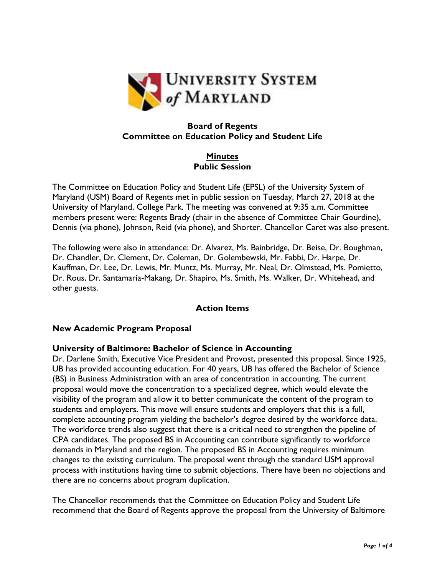

# **Board of Regents Committee on Education Policy and Student Life**

**Minutes Public Session**

The Committee on Education Policy and Student Life (EPSL) of the University System of Maryland (USM) Board of Regents met in public session on Tuesday, March 27, 2018 at the University of Maryland, College Park. The meeting was convened at 9:35 a.m. Committee members present were: Regents Brady (chair in the absence of Committee Chair Gourdine), Dennis (via phone), Johnson, Reid (via phone), and Shorter. Chancellor Caret was also present.

The following were also in attendance: Dr. Alvarez, Ms. Bainbridge, Dr. Beise, Dr. Boughman, Dr. Chandler, Dr. Clement, Dr. Coleman, Dr. Golembewski, Mr. Fabbi, Dr. Harpe, Dr. Kauffman, Dr. Lee, Dr. Lewis, Mr. Muntz, Ms. Murray, Mr. Neal, Dr. Olmstead, Ms. Pomietto, Dr. Rous, Dr. Santamaria-Makang, Dr. Shapiro, Ms. Smith, Ms. Walker, Dr. Whitehead, and other guests.

## **Action Items**

#### **New Academic Program Proposal**

#### **University of Baltimore: Bachelor of Science in Accounting**

Dr. Darlene Smith, Executive Vice President and Provost, presented this proposal. Since 1925, UB has provided accounting education. For 40 years, UB has offered the Bachelor of Science (BS) in Business Administration with an area of concentration in accounting. The current proposal would move the concentration to a specialized degree, which would elevate the visibility of the program and allow it to better communicate the content of the program to students and employers. This move will ensure students and employers that this is a full, complete accounting program yielding the bachelor's degree desired by the workforce data. The workforce trends also suggest that there is a critical need to strengthen the pipeline of CPA candidates. The proposed BS in Accounting can contribute significantly to workforce demands in Maryland and the region. The proposed BS in Accounting requires minimum changes to the existing curriculum. The proposal went through the standard USM approval process with institutions having time to submit objections. There have been no objections and there are no concerns about program duplication.

The Chancellor recommends that the Committee on Education Policy and Student Life recommend that the Board of Regents approve the proposal from the University of Baltimore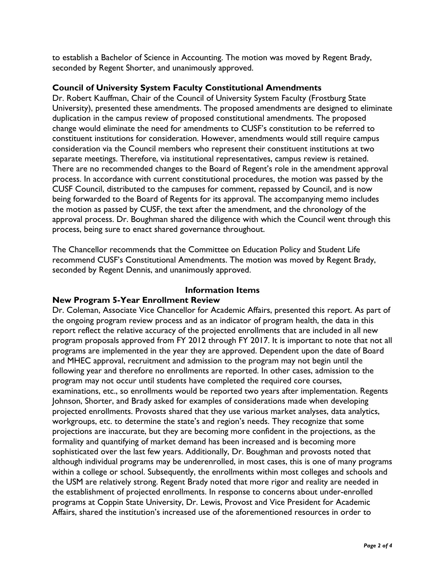to establish a Bachelor of Science in Accounting. The motion was moved by Regent Brady, seconded by Regent Shorter, and unanimously approved.

## **Council of University System Faculty Constitutional Amendments**

Dr. Robert Kauffman, Chair of the Council of University System Faculty (Frostburg State University), presented these amendments. The proposed amendments are designed to eliminate duplication in the campus review of proposed constitutional amendments. The proposed change would eliminate the need for amendments to CUSF's constitution to be referred to constituent institutions for consideration. However, amendments would still require campus consideration via the Council members who represent their constituent institutions at two separate meetings. Therefore, via institutional representatives, campus review is retained. There are no recommended changes to the Board of Regent's role in the amendment approval process. In accordance with current constitutional procedures, the motion was passed by the CUSF Council, distributed to the campuses for comment, repassed by Council, and is now being forwarded to the Board of Regents for its approval. The accompanying memo includes the motion as passed by CUSF, the text after the amendment, and the chronology of the approval process. Dr. Boughman shared the diligence with which the Council went through this process, being sure to enact shared governance throughout.

The Chancellor recommends that the Committee on Education Policy and Student Life recommend CUSF's Constitutional Amendments. The motion was moved by Regent Brady, seconded by Regent Dennis, and unanimously approved.

#### **Information Items**

## **New Program 5-Year Enrollment Review**

Dr. Coleman, Associate Vice Chancellor for Academic Affairs, presented this report. As part of the ongoing program review process and as an indicator of program health, the data in this report reflect the relative accuracy of the projected enrollments that are included in all new program proposals approved from FY 2012 through FY 2017. It is important to note that not all programs are implemented in the year they are approved. Dependent upon the date of Board and MHEC approval, recruitment and admission to the program may not begin until the following year and therefore no enrollments are reported. In other cases, admission to the program may not occur until students have completed the required core courses, examinations, etc., so enrollments would be reported two years after implementation. Regents Johnson, Shorter, and Brady asked for examples of considerations made when developing projected enrollments. Provosts shared that they use various market analyses, data analytics, workgroups, etc. to determine the state's and region's needs. They recognize that some projections are inaccurate, but they are becoming more confident in the projections, as the formality and quantifying of market demand has been increased and is becoming more sophisticated over the last few years. Additionally, Dr. Boughman and provosts noted that although individual programs may be underenrolled, in most cases, this is one of many programs within a college or school. Subsequently, the enrollments within most colleges and schools and the USM are relatively strong. Regent Brady noted that more rigor and reality are needed in the establishment of projected enrollments. In response to concerns about under-enrolled programs at Coppin State University, Dr. Lewis, Provost and Vice President for Academic Affairs, shared the institution's increased use of the aforementioned resources in order to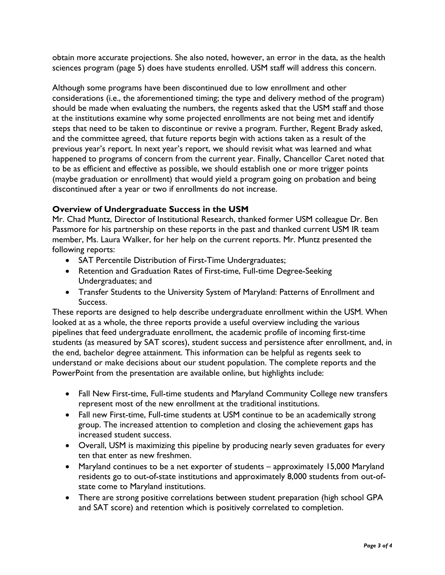obtain more accurate projections. She also noted, however, an error in the data, as the health sciences program (page 5) does have students enrolled. USM staff will address this concern.

Although some programs have been discontinued due to low enrollment and other considerations (i.e., the aforementioned timing; the type and delivery method of the program) should be made when evaluating the numbers, the regents asked that the USM staff and those at the institutions examine why some projected enrollments are not being met and identify steps that need to be taken to discontinue or revive a program. Further, Regent Brady asked, and the committee agreed, that future reports begin with actions taken as a result of the previous year's report. In next year's report, we should revisit what was learned and what happened to programs of concern from the current year. Finally, Chancellor Caret noted that to be as efficient and effective as possible, we should establish one or more trigger points (maybe graduation or enrollment) that would yield a program going on probation and being discontinued after a year or two if enrollments do not increase.

## **Overview of Undergraduate Success in the USM**

Mr. Chad Muntz, Director of Institutional Research, thanked former USM colleague Dr. Ben Passmore for his partnership on these reports in the past and thanked current USM IR team member, Ms. Laura Walker, for her help on the current reports. Mr. Muntz presented the following reports:

- SAT Percentile Distribution of First-Time Undergraduates;
- Retention and Graduation Rates of First-time, Full-time Degree-Seeking Undergraduates; and
- Transfer Students to the University System of Maryland: Patterns of Enrollment and Success.

These reports are designed to help describe undergraduate enrollment within the USM. When looked at as a whole, the three reports provide a useful overview including the various pipelines that feed undergraduate enrollment, the academic profile of incoming first-time students (as measured by SAT scores), student success and persistence after enrollment, and, in the end, bachelor degree attainment. This information can be helpful as regents seek to understand or make decisions about our student population. The complete reports and the PowerPoint from the presentation are available online, but highlights include:

- Fall New First-time, Full-time students and Maryland Community College new transfers represent most of the new enrollment at the traditional institutions.
- Fall new First-time, Full-time students at USM continue to be an academically strong group. The increased attention to completion and closing the achievement gaps has increased student success.
- Overall, USM is maximizing this pipeline by producing nearly seven graduates for every ten that enter as new freshmen.
- Maryland continues to be a net exporter of students approximately 15,000 Maryland residents go to out-of-state institutions and approximately 8,000 students from out-ofstate come to Maryland institutions.
- There are strong positive correlations between student preparation (high school GPA and SAT score) and retention which is positively correlated to completion.